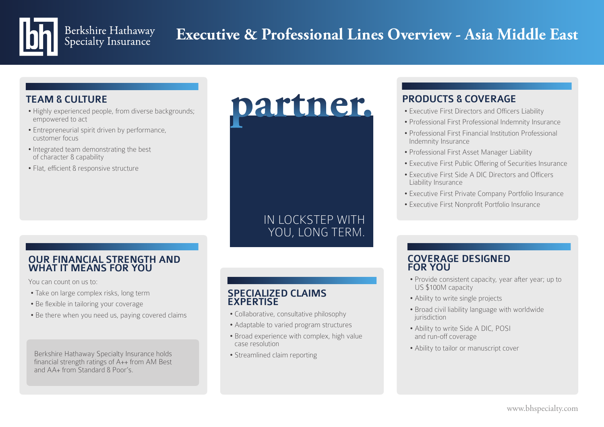## Berkshire Hathaway<br>Specialty Insurance **Executive & Professional Lines Overview - Asia Middle East**

## TEAM & CULTURE

- Highly experienced people, from diverse backgrounds; empowered to act
- Entrepreneurial spirit driven by performance, customer focus
- Integrated team demonstrating the best of character & capability
- Flat, efficient & responsive structure

### OUR FINANCIAL STRENGTH AND WHAT IT MEANS FOR YOU

You can count on us to:

- Take on large complex risks, long term
- Be flexible in tailoring your coverage
- Be there when you need us, paying covered claims

Berkshire Hathaway Specialty Insurance holds financial strength ratings of A++ from AM Best and AA+ from Standard & Poor's.

YOU, LONG TERM. COVERAGE FOR YOU.

**partner.**

IN LOCKSTEP WITH

#### SPECIALIZED CLAIMS EXPERTISE

- Collaborative, consultative philosophy
- Adaptable to varied program structures
- Broad experience with complex, high value case resolution
- Streamlined claim reporting

## PRODUCTS & COVERAGE

- Executive First Directors and Officers Liability
- Professional First Professional Indemnity Insurance
- Professional First Financial Institution Professional Indemnity Insurance
- Professional First Asset Manager Liability
- Executive First Public Offering of Securities Insurance
- Executive First Side A DIC Directors and Officers Liability Insurance
- Executive First Private Company Portfolio Insurance
- Executive First Nonprofit Portfolio Insurance

### COVERAGE DESIGNED FOR YOU

- Provide consistent capacity, year after year; up to US \$100M capacity
- Ability to write single projects
- Broad civil liability language with worldwide iurisdiction
- Ability to write Side A DIC, POSI and run-off coverage
- Ability to tailor or manuscript cover